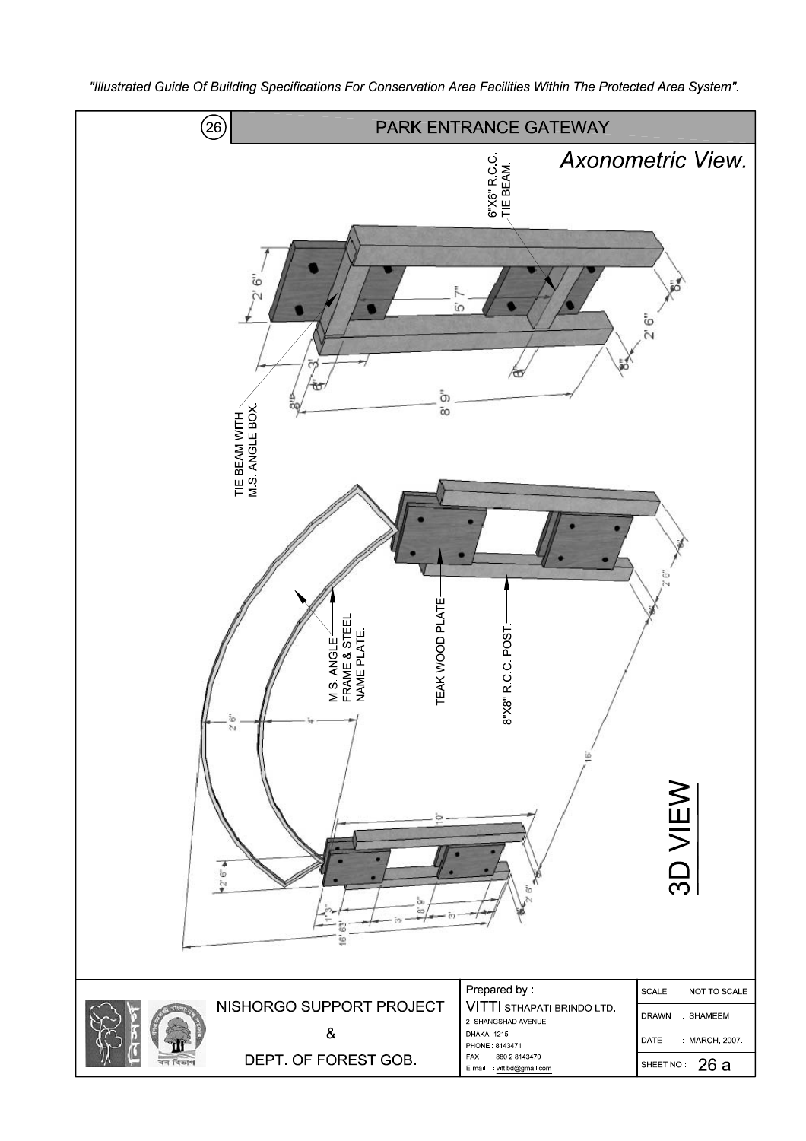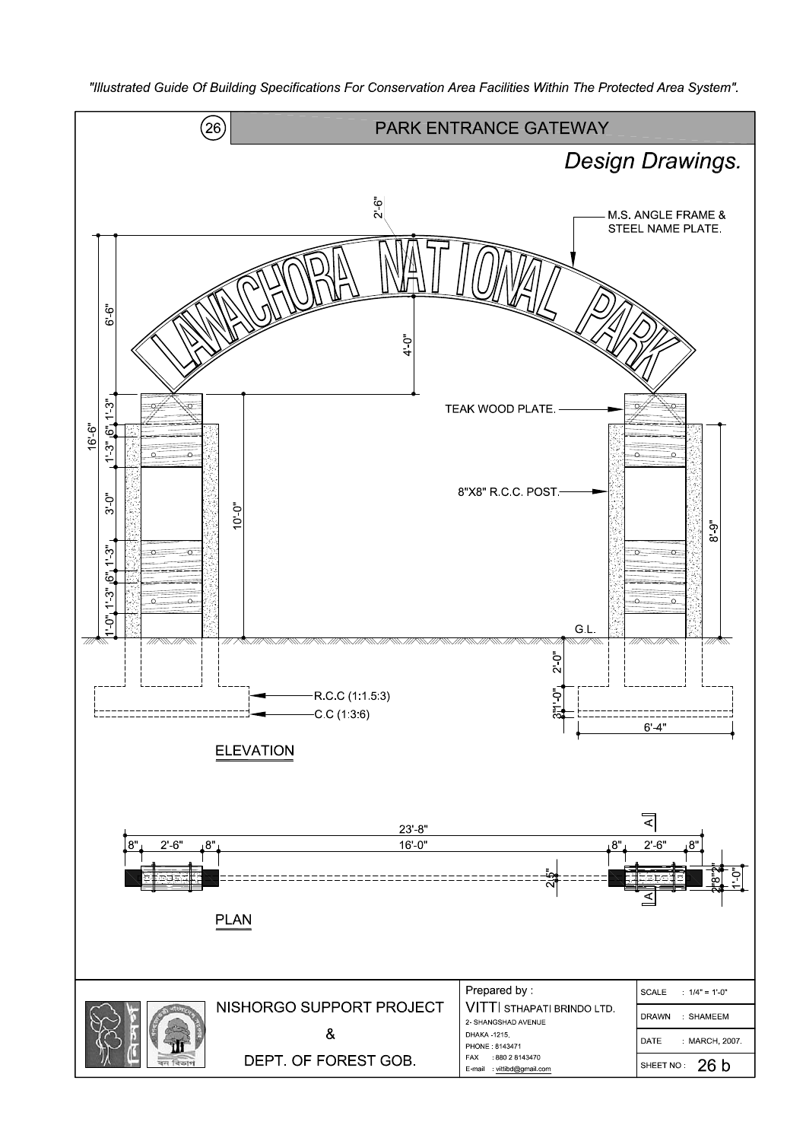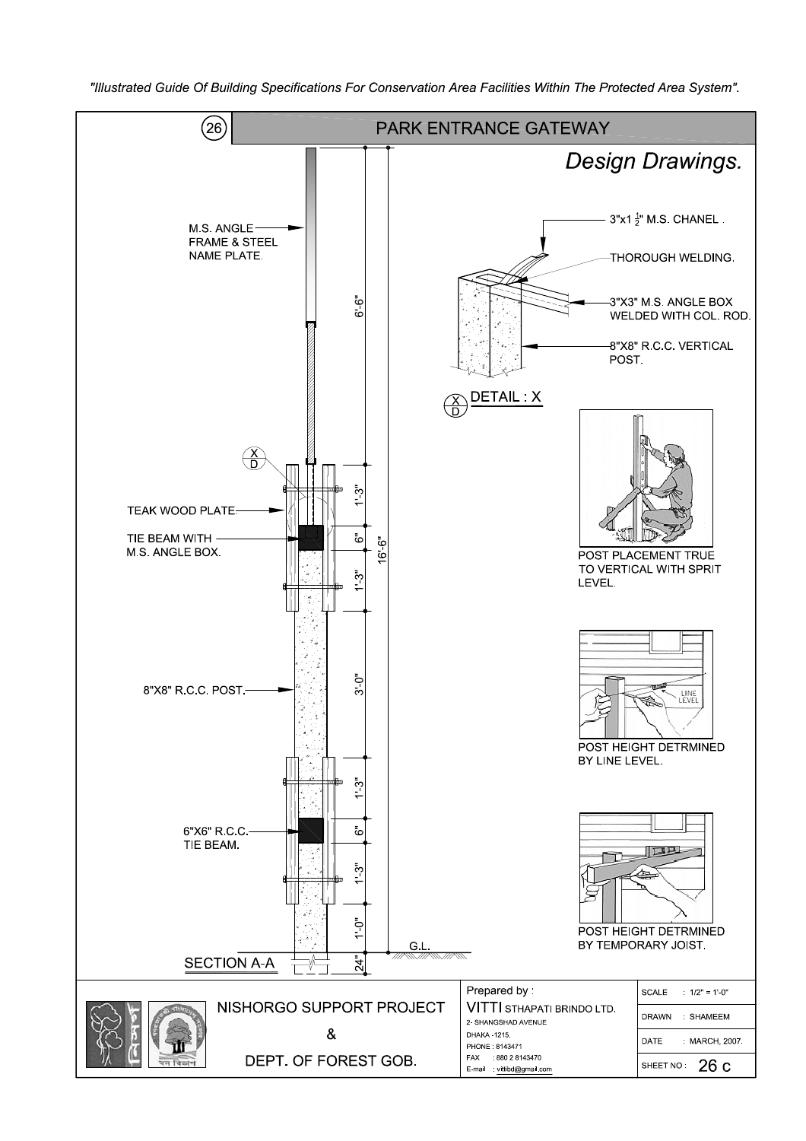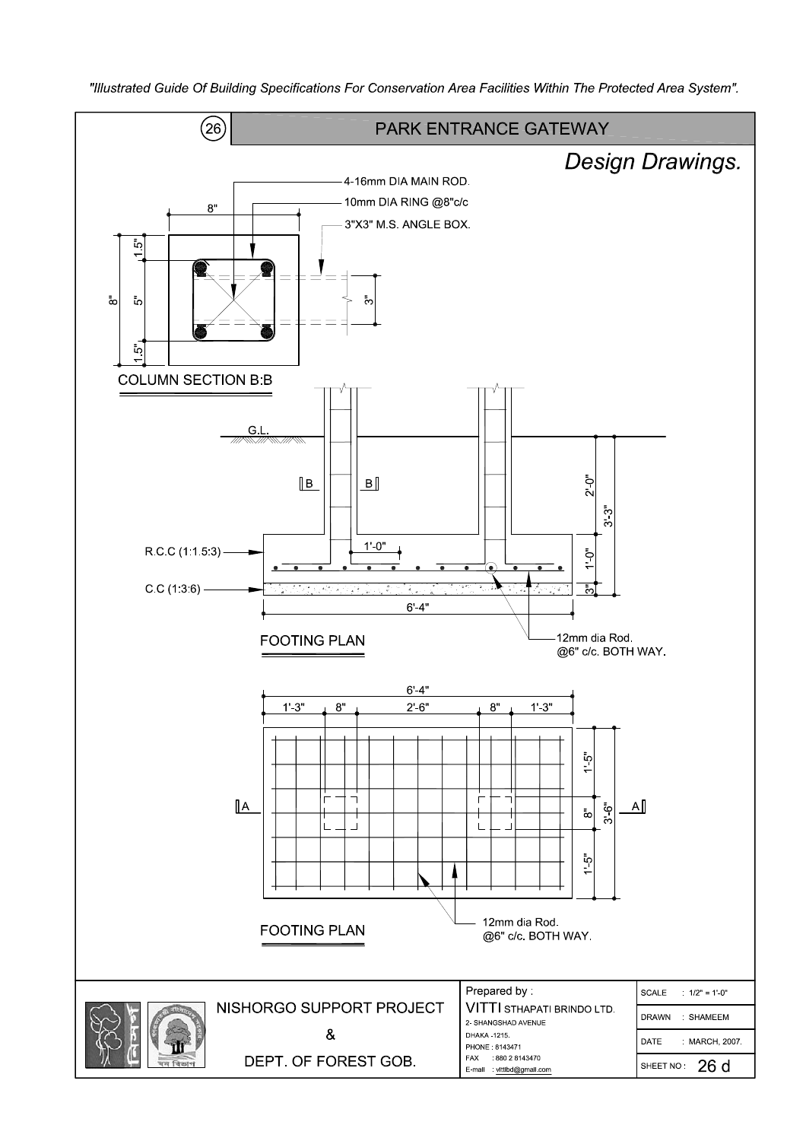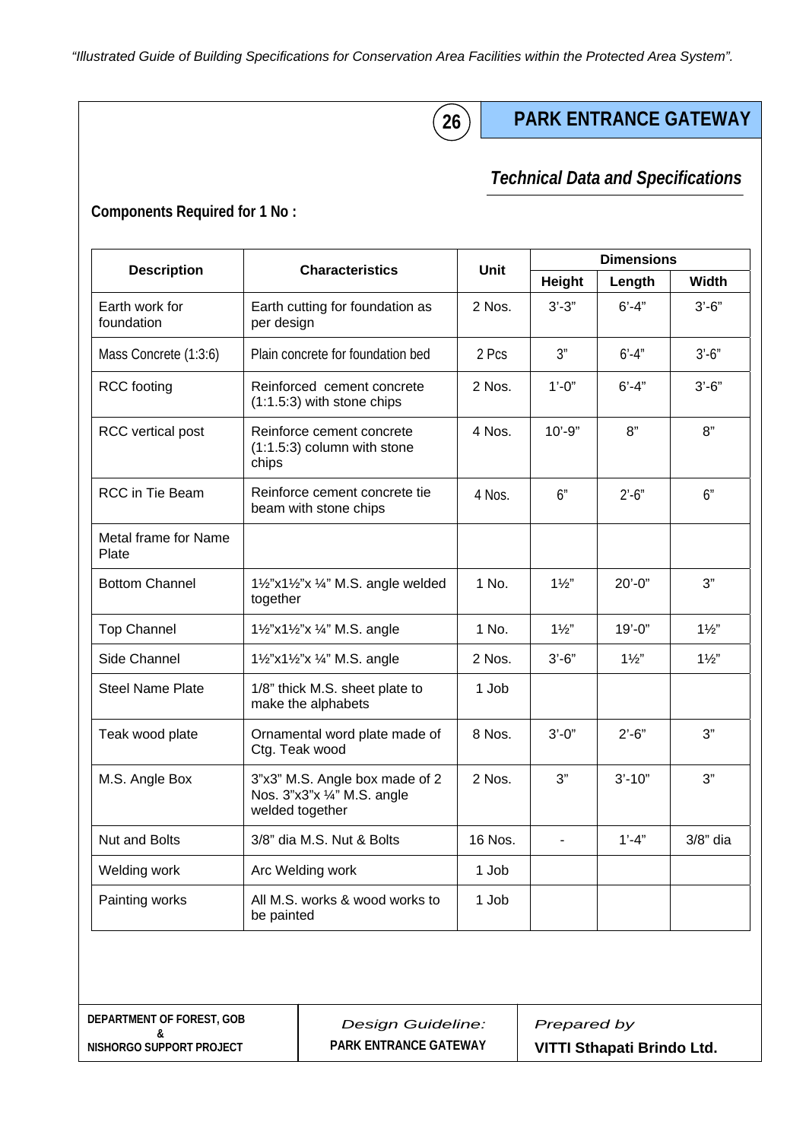**26**

# **PARK ENTRANCE GATEWAY**

### *Technical Data and Specifications Technical Data and Specifications*

### **Components Required for 1 No :**

| <b>Description</b>            | <b>Characteristics</b>                                                           | Unit     | <b>Dimensions</b> |                |                |
|-------------------------------|----------------------------------------------------------------------------------|----------|-------------------|----------------|----------------|
|                               |                                                                                  |          | Height            | Length         | <b>Width</b>   |
| Earth work for<br>foundation  | Earth cutting for foundation as<br>per design                                    | 2 Nos.   | $3'-3''$          | $6' - 4"$      | $3'-6''$       |
| Mass Concrete (1:3:6)         | Plain concrete for foundation bed                                                | 2 Pcs    | 3"                | $6' - 4''$     | $3' - 6''$     |
| <b>RCC</b> footing            | Reinforced cement concrete<br>$(1:1.5:3)$ with stone chips                       | 2 Nos.   | $1' - 0''$        | $6' - 4''$     | $3'-6''$       |
| <b>RCC</b> vertical post      | Reinforce cement concrete<br>$(1:1.5:3)$ column with stone<br>chips              | 4 Nos.   | $10' - 9"$        | 8"             | 8"             |
| RCC in Tie Beam               | Reinforce cement concrete tie<br>beam with stone chips                           | 4 Nos.   | 6"                | $2' - 6''$     | 6"             |
| Metal frame for Name<br>Plate |                                                                                  |          |                   |                |                |
| <b>Bottom Channel</b>         | 11/2"x11/2"x 1/4" M.S. angle welded<br>together                                  | 1 No.    | $1\frac{1}{2}$    | $20' - 0''$    | 3"             |
| <b>Top Channel</b>            | 11/2"x11/2"x 1/4" M.S. angle                                                     | 1 No.    | $1\frac{1}{2}$    | $19' - 0"$     | $1\frac{1}{2}$ |
| Side Channel                  | 11/2"x11/2"x 1/4" M.S. angle                                                     | $2$ Nos. | $3'-6''$          | $1\frac{1}{2}$ | $1\frac{1}{2}$ |
| <b>Steel Name Plate</b>       | 1/8" thick M.S. sheet plate to<br>make the alphabets                             |          |                   |                |                |
| Teak wood plate               | Ornamental word plate made of<br>Ctg. Teak wood                                  |          | $3'$ -0"          | $2' - 6''$     | 3"             |
| M.S. Angle Box                | 3"x3" M.S. Angle box made of 2<br>Nos. 3"x3"x 1/4" M.S. angle<br>welded together |          | 3"                | $3' - 10"$     | 3"             |
| <b>Nut and Bolts</b>          | 3/8" dia M.S. Nut & Bolts                                                        | 16 Nos.  |                   | $1' - 4"$      | $3/8"$ dia     |
| Welding work                  | Arc Welding work                                                                 | 1 Job    |                   |                |                |
| Painting works                | All M.S. works & wood works to<br>be painted                                     | 1 Job    |                   |                |                |

| DEPARTMENT OF FOREST. GOB |
|---------------------------|
| ጼ                         |
| NISHORGO SUPPORT PROJECT  |

*Design Guideline:*  **PARK ENTRANCE GATEWAY** 

*Prepared by*  **VITTI Sthapati Brindo Ltd.**